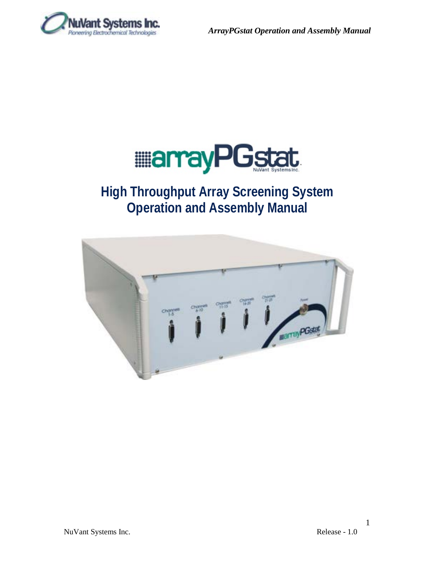



# **High Throughput Array Screening System Operation and Assembly Manual**



1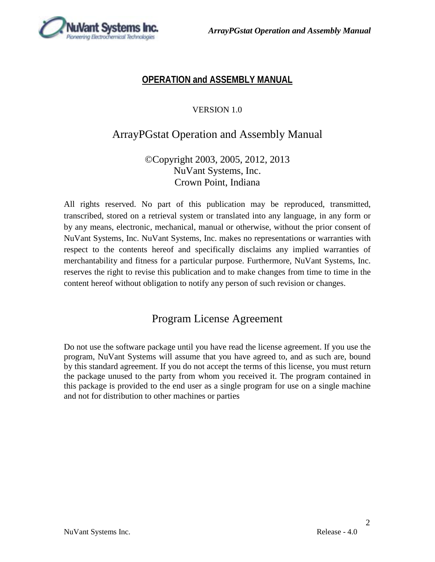

## **OPERATION and ASSEMBLY MANUAL**

### VERSION 1.0

## ArrayPGstat Operation and Assembly Manual

## ©Copyright 2003, 2005, 2012, 2013 NuVant Systems, Inc. Crown Point, Indiana

All rights reserved. No part of this publication may be reproduced, transmitted, transcribed, stored on a retrieval system or translated into any language, in any form or by any means, electronic, mechanical, manual or otherwise, without the prior consent of NuVant Systems, Inc. NuVant Systems, Inc. makes no representations or warranties with respect to the contents hereof and specifically disclaims any implied warranties of merchantability and fitness for a particular purpose. Furthermore, NuVant Systems, Inc. reserves the right to revise this publication and to make changes from time to time in the content hereof without obligation to notify any person of such revision or changes.

## Program License Agreement

Do not use the software package until you have read the license agreement. If you use the program, NuVant Systems will assume that you have agreed to, and as such are, bound by this standard agreement. If you do not accept the terms of this license, you must return the package unused to the party from whom you received it. The program contained in this package is provided to the end user as a single program for use on a single machine and not for distribution to other machines or parties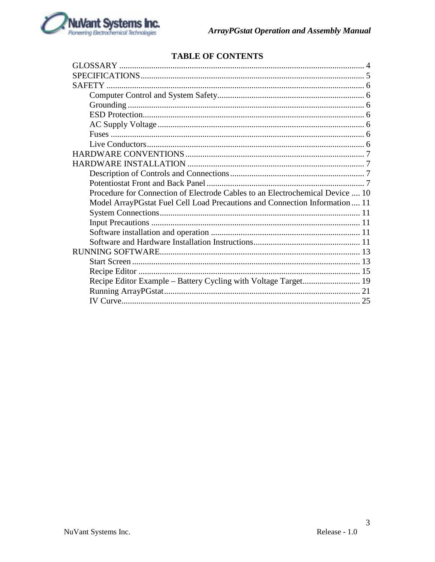

## **TABLE OF CONTENTS**

| Procedure for Connection of Electrode Cables to an Electrochemical Device  10 |
|-------------------------------------------------------------------------------|
| Model ArrayPGstat Fuel Cell Load Precautions and Connection Information 11    |
|                                                                               |
|                                                                               |
|                                                                               |
|                                                                               |
|                                                                               |
|                                                                               |
|                                                                               |
|                                                                               |
|                                                                               |
|                                                                               |
|                                                                               |

 $\mathfrak{Z}$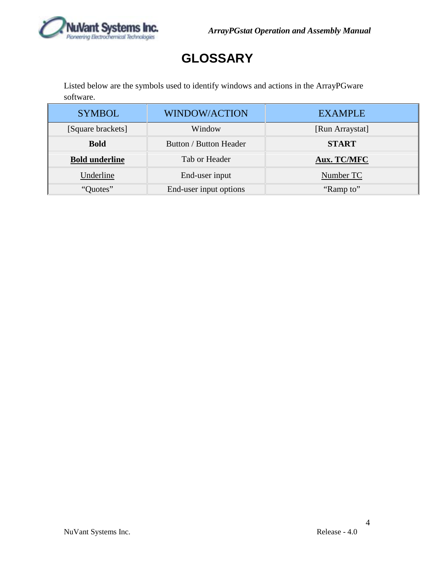

# **GLOSSARY**

<span id="page-3-0"></span>Listed below are the symbols used to identify windows and actions in the ArrayPGware software.

| <b>SYMBOL</b>         | <b>WINDOW/ACTION</b>   | <b>EXAMPLE</b>  |
|-----------------------|------------------------|-----------------|
| [Square brackets]     | Window                 | [Run Arraystat] |
| <b>Bold</b>           | Button / Button Header | <b>START</b>    |
| <b>Bold underline</b> | Tab or Header          | Aux. TC/MFC     |
| Underline             | End-user input         | Number TC       |
| "Quotes"              | End-user input options | "Ramp to"       |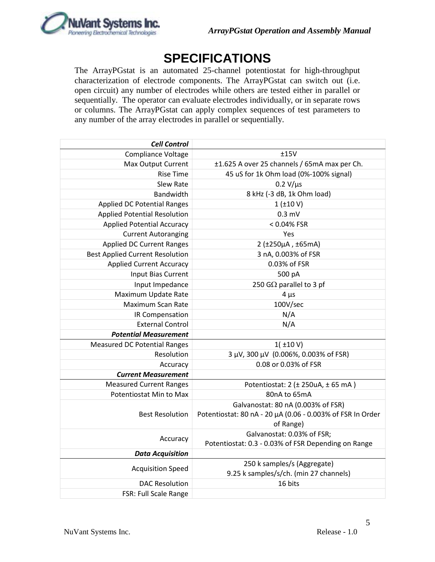

# **SPECIFICATIONS**

<span id="page-4-0"></span>The ArrayPGstat is an automated 25-channel potentiostat for high-throughput characterization of electrode components. The ArrayPGstat can switch out (i.e. open circuit) any number of electrodes while others are tested either in parallel or sequentially. The operator can evaluate electrodes individually, or in separate rows or columns. The ArrayPGstat can apply complex sequences of test parameters to any number of the array electrodes in parallel or sequentially.

| <b>Cell Control</b>                    |                                                            |
|----------------------------------------|------------------------------------------------------------|
| Compliance Voltage                     | ±15V                                                       |
| Max Output Current                     | ±1.625 A over 25 channels / 65mA max per Ch.               |
| <b>Rise Time</b>                       | 45 uS for 1k Ohm load (0%-100% signal)                     |
| Slew Rate                              | $0.2 V/\mu s$                                              |
| Bandwidth                              | 8 kHz (-3 dB, 1k Ohm load)                                 |
| <b>Applied DC Potential Ranges</b>     | $1$ ( $\pm$ 10 V)                                          |
| <b>Applied Potential Resolution</b>    | $0.3$ mV                                                   |
| <b>Applied Potential Accuracy</b>      | < 0.04% FSR                                                |
| <b>Current Autoranging</b>             | Yes                                                        |
| <b>Applied DC Current Ranges</b>       | 2 (±250µA, ±65mA)                                          |
| <b>Best Applied Current Resolution</b> | 3 nA, 0.003% of FSR                                        |
| <b>Applied Current Accuracy</b>        | 0.03% of FSR                                               |
| <b>Input Bias Current</b>              | 500 pA                                                     |
| Input Impedance                        | 250 G $\Omega$ parallel to 3 pf                            |
| Maximum Update Rate                    | $4 \mu s$                                                  |
| Maximum Scan Rate                      | 100V/sec                                                   |
| IR Compensation                        | N/A                                                        |
| <b>External Control</b>                | N/A                                                        |
| <b>Potential Measurement</b>           |                                                            |
| <b>Measured DC Potential Ranges</b>    | 1(±10 V)                                                   |
| Resolution                             | 3 µV, 300 µV (0.006%, 0.003% of FSR)                       |
| Accuracy                               | 0.08 or 0.03% of FSR                                       |
| <b>Current Measurement</b>             |                                                            |
| <b>Measured Current Ranges</b>         | Potentiostat: 2 (± 250uA, ± 65 mA)                         |
| Potentiostat Min to Max                | 80nA to 65mA                                               |
|                                        | Galvanostat: 80 nA (0.003% of FSR)                         |
| <b>Best Resolution</b>                 | Potentiostat: 80 nA - 20 µA (0.06 - 0.003% of FSR In Order |
|                                        | of Range)                                                  |
| Accuracy                               | Galvanostat: 0.03% of FSR;                                 |
|                                        | Potentiostat: 0.3 - 0.03% of FSR Depending on Range        |
| <b>Data Acquisition</b>                |                                                            |
| <b>Acquisition Speed</b>               | 250 k samples/s (Aggregate)                                |
|                                        | 9.25 k samples/s/ch. (min 27 channels)                     |
| <b>DAC Resolution</b>                  | 16 bits                                                    |
| FSR: Full Scale Range                  |                                                            |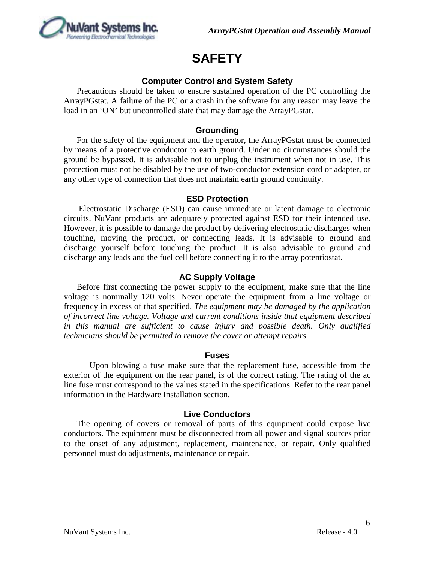

# **SAFETY**

### **Computer Control and System Safety**

<span id="page-5-1"></span><span id="page-5-0"></span>Precautions should be taken to ensure sustained operation of the PC controlling the ArrayPGstat. A failure of the PC or a crash in the software for any reason may leave the load in an 'ON' but uncontrolled state that may damage the ArrayPGstat.

### **Grounding**

<span id="page-5-2"></span>For the safety of the equipment and the operator, the ArrayPGstat must be connected by means of a protective conductor to earth ground. Under no circumstances should the ground be bypassed. It is advisable not to unplug the instrument when not in use. This protection must not be disabled by the use of two-conductor extension cord or adapter, or any other type of connection that does not maintain earth ground continuity.

#### **ESD Protection**

<span id="page-5-3"></span>Electrostatic Discharge (ESD) can cause immediate or latent damage to electronic circuits. NuVant products are adequately protected against ESD for their intended use. However, it is possible to damage the product by delivering electrostatic discharges when touching, moving the product, or connecting leads. It is advisable to ground and discharge yourself before touching the product. It is also advisable to ground and discharge any leads and the fuel cell before connecting it to the array potentiostat.

#### **AC Supply Voltage**

<span id="page-5-4"></span>Before first connecting the power supply to the equipment, make sure that the line voltage is nominally 120 volts. Never operate the equipment from a line voltage or frequency in excess of that specified. *The equipment may be damaged by the application of incorrect line voltage. Voltage and current conditions inside that equipment described in this manual are sufficient to cause injury and possible death. Only qualified technicians should be permitted to remove the cover or attempt repairs.*

#### **Fuses**

<span id="page-5-5"></span>Upon blowing a fuse make sure that the replacement fuse, accessible from the exterior of the equipment on the rear panel, is of the correct rating. The rating of the ac line fuse must correspond to the values stated in the specifications. Refer to the rear panel information in the Hardware Installation section.

#### **Live Conductors**

<span id="page-5-6"></span>The opening of covers or removal of parts of this equipment could expose live conductors. The equipment must be disconnected from all power and signal sources prior to the onset of any adjustment, replacement, maintenance, or repair. Only qualified personnel must do adjustments, maintenance or repair.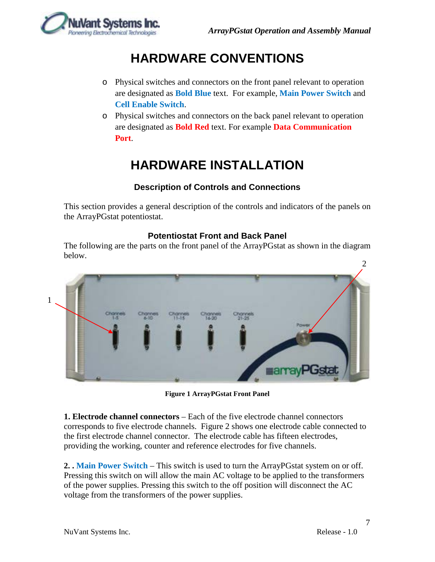

# **HARDWARE CONVENTIONS**

- <span id="page-6-0"></span>o Physical switches and connectors on the front panel relevant to operation are designated as **Bold Blue** text. For example, **Main Power Switch** and **Cell Enable Switch**.
- o Physical switches and connectors on the back panel relevant to operation are designated as **Bold Red** text. For example **Data Communication Port**.

# **HARDWARE INSTALLATION**

### **Description of Controls and Connections**

<span id="page-6-2"></span><span id="page-6-1"></span>This section provides a general description of the controls and indicators of the panels on the ArrayPGstat potentiostat.

### **Potentiostat Front and Back Panel**

<span id="page-6-3"></span>The following are the parts on the front panel of the ArrayPGstat as shown in the diagram below.



**Figure 1 ArrayPGstat Front Panel**

**1. Electrode channel connectors** – Each of the five electrode channel connectors corresponds to five electrode channels. Figure 2 shows one electrode cable connected to the first electrode channel connector. The electrode cable has fifteen electrodes, providing the working, counter and reference electrodes for five channels.

**2. . Main Power Switch** – This switch is used to turn the ArrayPGstat system on or off. Pressing this switch on will allow the main AC voltage to be applied to the transformers of the power supplies. Pressing this switch to the off position will disconnect the AC voltage from the transformers of the power supplies.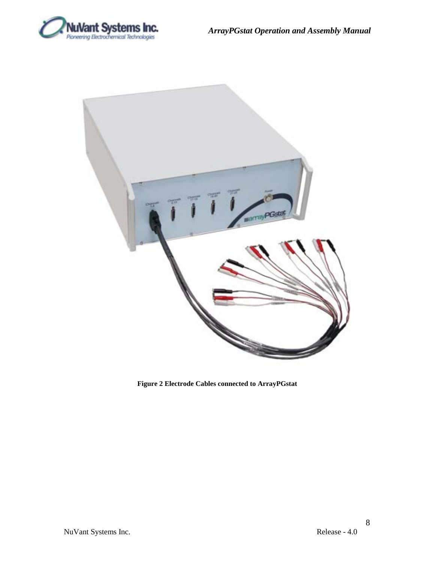



**Figure 2 Electrode Cables connected to ArrayPGstat**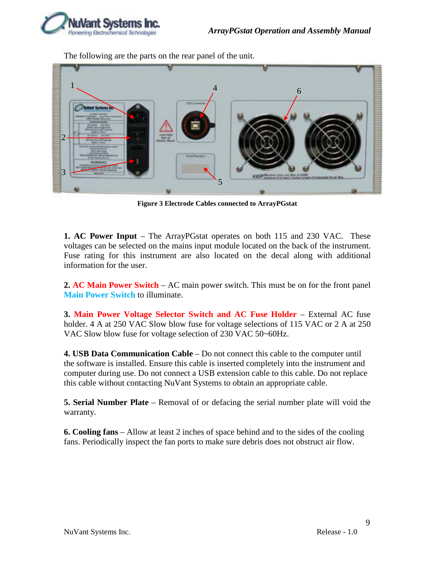

The following are the parts on the rear panel of the unit.



**Figure 3 Electrode Cables connected to ArrayPGstat**

**1. AC Power Input** – The ArrayPGstat operates on both 115 and 230 VAC. These voltages can be selected on the mains input module located on the back of the instrument. Fuse rating for this instrument are also located on the decal along with additional information for the user.

**2. AC Main Power Switch** – AC main power switch. This must be on for the front panel **Main Power Switch** to illuminate.

**3. Main Power Voltage Selector Switch and AC Fuse Holder** – External AC fuse holder. 4 A at 250 VAC Slow blow fuse for voltage selections of 115 VAC or 2 A at 250 VAC Slow blow fuse for voltage selection of 230 VAC 50~60Hz.

**4. USB Data Communication Cable** – Do not connect this cable to the computer until the software is installed. Ensure this cable is inserted completely into the instrument and computer during use. Do not connect a USB extension cable to this cable. Do not replace this cable without contacting NuVant Systems to obtain an appropriate cable.

**5. Serial Number Plate** – Removal of or defacing the serial number plate will void the warranty.

**6. Cooling fans** – Allow at least 2 inches of space behind and to the sides of the cooling fans. Periodically inspect the fan ports to make sure debris does not obstruct air flow.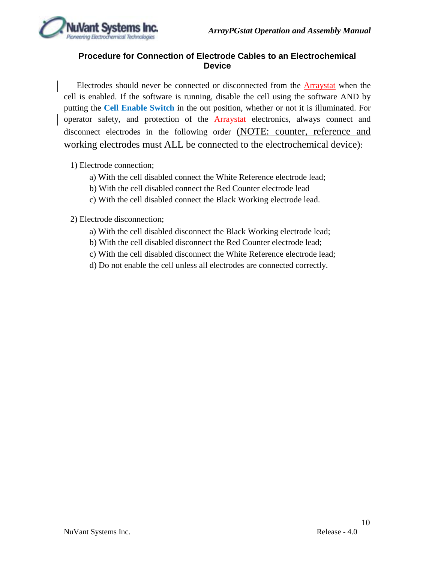

### <span id="page-9-0"></span>**Procedure for Connection of Electrode Cables to an Electrochemical Device**

Electrodes should never be connected or disconnected from the Arraystat when the cell is enabled. If the software is running, disable the cell using the software AND by putting the **Cell Enable Switch** in the out position, whether or not it is illuminated. For operator safety, and protection of the Arraystat electronics, always connect and disconnect electrodes in the following order (NOTE: counter, reference and working electrodes must ALL be connected to the electrochemical device):

1) Electrode connection;

- a) With the cell disabled connect the White Reference electrode lead;
- b) With the cell disabled connect the Red Counter electrode lead
- c) With the cell disabled connect the Black Working electrode lead.

2) Electrode disconnection;

- a) With the cell disabled disconnect the Black Working electrode lead;
- b) With the cell disabled disconnect the Red Counter electrode lead;
- c) With the cell disabled disconnect the White Reference electrode lead;
- d) Do not enable the cell unless all electrodes are connected correctly.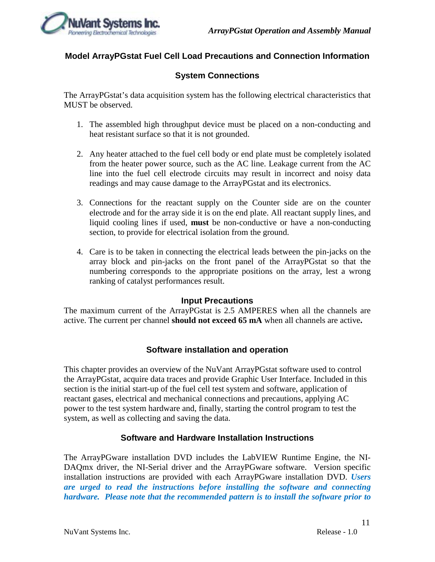

### <span id="page-10-1"></span><span id="page-10-0"></span>**Model ArrayPGstat Fuel Cell Load Precautions and Connection Information**

### **System Connections**

The ArrayPGstat's data acquisition system has the following electrical characteristics that MUST be observed.

- 1. The assembled high throughput device must be placed on a non-conducting and heat resistant surface so that it is not grounded.
- 2. Any heater attached to the fuel cell body or end plate must be completely isolated from the heater power source, such as the AC line. Leakage current from the AC line into the fuel cell electrode circuits may result in incorrect and noisy data readings and may cause damage to the ArrayPGstat and its electronics.
- 3. Connections for the reactant supply on the Counter side are on the counter electrode and for the array side it is on the end plate. All reactant supply lines, and liquid cooling lines if used, **must** be non-conductive or have a non-conducting section, to provide for electrical isolation from the ground.
- 4. Care is to be taken in connecting the electrical leads between the pin-jacks on the array block and pin-jacks on the front panel of the ArrayPGstat so that the numbering corresponds to the appropriate positions on the array, lest a wrong ranking of catalyst performances result.

#### **Input Precautions**

<span id="page-10-2"></span>The maximum current of the ArrayPGstat is 2.5 AMPERES when all the channels are active. The current per channel **should not exceed 65 mA** when all channels are active**.** 

### **Software installation and operation**

<span id="page-10-3"></span>This chapter provides an overview of the NuVant ArrayPGstat software used to control the ArrayPGstat, acquire data traces and provide Graphic User Interface. Included in this section is the initial start-up of the fuel cell test system and software, application of reactant gases, electrical and mechanical connections and precautions, applying AC power to the test system hardware and, finally, starting the control program to test the system, as well as collecting and saving the data.

### **Software and Hardware Installation Instructions**

<span id="page-10-4"></span>The ArrayPGware installation DVD includes the LabVIEW Runtime Engine, the NI-DAQmx driver, the NI-Serial driver and the ArrayPGware software. Version specific installation instructions are provided with each ArrayPGware installation DVD. *Users are urged to read the instructions before installing the software and connecting hardware. Please note that the recommended pattern is to install the software prior to*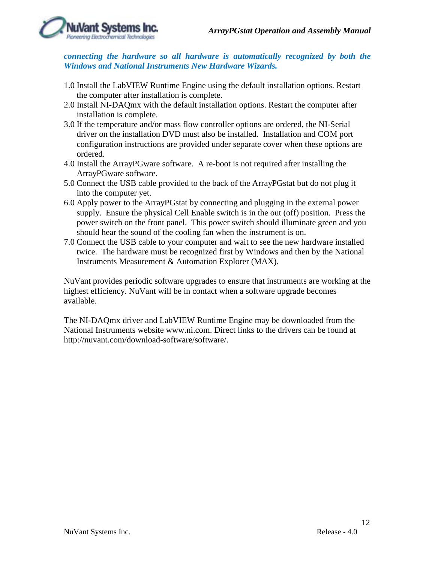

*connecting the hardware so all hardware is automatically recognized by both the Windows and National Instruments New Hardware Wizards.*

- 1.0 Install the LabVIEW Runtime Engine using the default installation options. Restart the computer after installation is complete.
- 2.0 Install NI-DAQmx with the default installation options. Restart the computer after installation is complete.
- 3.0 If the temperature and/or mass flow controller options are ordered, the NI-Serial driver on the installation DVD must also be installed. Installation and COM port configuration instructions are provided under separate cover when these options are ordered.
- 4.0 Install the ArrayPGware software. A re-boot is not required after installing the ArrayPGware software.
- 5.0 Connect the USB cable provided to the back of the ArrayPGstat but do not plug it into the computer yet.
- 6.0 Apply power to the ArrayPGstat by connecting and plugging in the external power supply. Ensure the physical Cell Enable switch is in the out (off) position. Press the power switch on the front panel. This power switch should illuminate green and you should hear the sound of the cooling fan when the instrument is on.
- 7.0 Connect the USB cable to your computer and wait to see the new hardware installed twice. The hardware must be recognized first by Windows and then by the National Instruments Measurement & Automation Explorer (MAX).

NuVant provides periodic software upgrades to ensure that instruments are working at the highest efficiency. NuVant will be in contact when a software upgrade becomes available.

The NI-DAQmx driver and LabVIEW Runtime Engine may be downloaded from the National Instruments website [www.ni.com.](http://www.ni.com/) Direct links to the drivers can be found at [http://nuvant.com/download-software/software/.](http://nuvant.com/download-software/software/)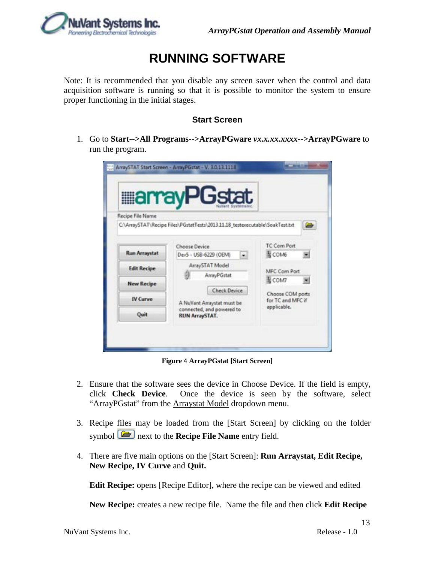# **RUNNING SOFTWARE**

<span id="page-12-0"></span>Note: It is recommended that you disable any screen saver when the control and data acquisition software is running so that it is possible to monitor the system to ensure proper functioning in the initial stages.

### **Start Screen**

<span id="page-12-1"></span>1. Go to **Start-->All Programs-->ArrayPGware** *vx.x.xx.xxxx***-->ArrayPGware** to run the program.

|                      | <b>MarrayPGstat</b>                                                          |                   |
|----------------------|------------------------------------------------------------------------------|-------------------|
|                      |                                                                              |                   |
| Recipe File Name     |                                                                              |                   |
|                      | C:\ArraySTAT\Recipe Files\PGstatTests\2013.11.18_testexecutable\SoakTest.txt |                   |
|                      |                                                                              | TC Com Port       |
| <b>Run Arraystat</b> | Choose Device<br>Dev5 - USB-6229 (OEM)<br>$\bullet$                          | H COM6            |
| <b>Edit Recipe</b>   | ArraySTAT Model                                                              |                   |
|                      | ArrayPGstat                                                                  | MFC Com Port      |
| <b>New Recipe</b>    |                                                                              | <b>ECOM7</b>      |
|                      | <b>Check Device</b>                                                          | Choose COM ports  |
| <b>IV Curve</b>      | A NuVant Arraystat must be                                                   | for TC and MFC if |
| Quit                 | connected, and powered to<br><b>RUN ArraySTAT.</b>                           | applicable.       |

**Figure** 4 **ArrayPGstat [Start Screen]**

- 2. Ensure that the software sees the device in Choose Device. If the field is empty, click **Check Device**. Once the device is seen by the software, select "ArrayPGstat" from the **Arraystat Model** dropdown menu.
- 3. Recipe files may be loaded from the [Start Screen] by clicking on the folder symbol **next to the Recipe File Name** entry field.
- 4. There are five main options on the [Start Screen]: **Run Arraystat, Edit Recipe, New Recipe, IV Curve** and **Quit.**

**Edit Recipe:** opens [Recipe Editor], where the recipe can be viewed and edited

**New Recipe:** creates a new recipe file. Name the file and then click **Edit Recipe**

13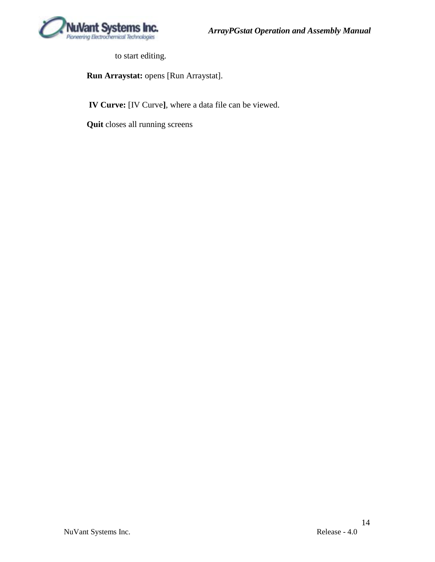

to start editing.

**Run Arraystat:** opens [Run Arraystat].

**IV Curve:** [IV Curve**]**, where a data file can be viewed.

**Quit** closes all running screens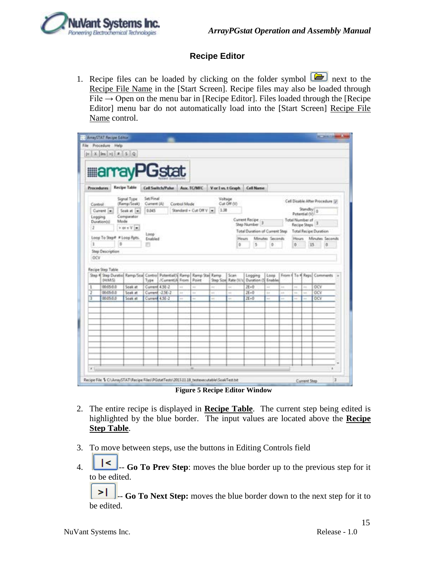

### **Recipe Editor**

<span id="page-14-0"></span>1. Recipe files can be loaded by clicking on the folder symbol  $\boxed{\bullet}$  next to the Recipe File Name in the [Start Screen]. Recipe files may also be loaded through File  $\rightarrow$  Open on the menu bar in [Recipe Editor]. Files loaded through the [Recipe Editor] menu bar do not automatically load into the [Start Screen] Recipe File Name control.

|                   |                            |      |                                                         |                          | <b>MarrayPGstat</b>          |               |                         |         |                              |                                 |                 |                |    |                                  |                                  |  |
|-------------------|----------------------------|------|---------------------------------------------------------|--------------------------|------------------------------|---------------|-------------------------|---------|------------------------------|---------------------------------|-----------------|----------------|----|----------------------------------|----------------------------------|--|
| <b>Procedures</b> |                            |      | Recipe Table                                            |                          | Cell Switch/Pube Aux, TC/MFC |               |                         |         |                              | Vor I vs. t Graph Call Name     |                 |                |    |                                  |                                  |  |
| Control           |                            |      | Signal Type<br>(Ramp/Soak)                              | Set/Final<br>Current (A) |                              | Control Mode  |                         | Voltage | Cut Off (V)                  |                                 |                 |                |    |                                  | Cell Disable After Procedure (2) |  |
|                   | Current in                 |      | Soak at 14                                              | 0.045                    |                              |               | Standard + Cut Off V (= | 1.38    |                              |                                 |                 |                |    | Standby a                        |                                  |  |
| Legging           |                            | Mode | Comparator                                              |                          |                              |               |                         |         |                              | Current Recipe ::               |                 |                |    | Potential (V)<br>Total Number of |                                  |  |
| 2                 | Dusation(s)                |      | Vers Vist                                               |                          |                              |               |                         |         |                              | Step Number                     |                 |                |    | Recipe Steps <sup>3</sup>        |                                  |  |
|                   |                            |      |                                                         | Loop:                    |                              |               |                         |         |                              | Total Duration of Current Step. |                 |                |    |                                  | <b>Total Recipe Duration</b>     |  |
|                   | Long To Step# # Long Rpts. |      |                                                         | Enabled                  |                              |               |                         |         | Hours                        |                                 | Minutes Seconds |                |    |                                  | Hours Minutes Seconds            |  |
| 1                 |                            | Ď.   |                                                         | m                        |                              |               |                         |         | 0                            | 5                               | ō               |                | 0  |                                  | 10<br>15                         |  |
| OCV               | <b>Step Description</b>    |      |                                                         |                          |                              |               |                         |         |                              |                                 |                 |                |    |                                  |                                  |  |
|                   | Recipe Step Table<br>(HMS) |      | Step # Step Duratio  Ramp/Scal Control Potential/4 Ramp | Type                     | /Current/A From              |               | Ramp Stac Ramp<br>Paint |         | Scan<br>Step Size Rate (V/s) | Logging<br>Duration (S) Enables | Loos            |                |    |                                  | From # To # Reps Comments        |  |
| 1                 | 00:05-0.0                  |      | Soak at                                                 | Current 4.5E-2           |                              | $\sim$        | ü                       | s.      | u                            | $JE = 0$                        | $\overline{a}$  | 16.41          | m. | ó.                               | OCV                              |  |
| Ŧ                 | 00:05:0.0                  |      | Sook at                                                 |                          | Current -2.5E-2              | $\frac{1}{2}$ | u                       | 44      | ×                            | $2E - 0$                        | ÷               | 48             | ma | us.                              | OCV                              |  |
| т                 | 00-05-0.0                  |      | Soak at                                                 | Current 4.5E-2           |                              | à.            | ÷.                      | in.     | i.                           | $2E = 0$                        | u.              | $\overline{a}$ | m. | i.                               | OCV                              |  |
|                   |                            |      |                                                         |                          |                              |               |                         |         |                              |                                 |                 |                |    |                                  |                                  |  |
|                   |                            |      |                                                         |                          |                              |               |                         |         |                              |                                 |                 |                |    |                                  |                                  |  |
|                   |                            |      |                                                         |                          |                              |               |                         |         |                              |                                 |                 |                |    |                                  |                                  |  |
|                   |                            |      |                                                         |                          |                              |               |                         |         |                              |                                 |                 |                |    |                                  |                                  |  |

**Figure 5 Recipe Editor Window**

- 2. The entire recipe is displayed in **Recipe Table**. The current step being edited is highlighted by the blue border. The input values are located above the **Recipe Step Table**.
- 3. To move between steps, use the buttons in Editing Controls field
- 4.  $\begin{bmatrix} 1 & 1 \\ 1 & 1 \end{bmatrix}$  **Go To Prev Step**: moves the blue border up to the previous step for it to be edited.

>۱ -- **Go To Next Step:** moves the blue border down to the next step for it to be edited.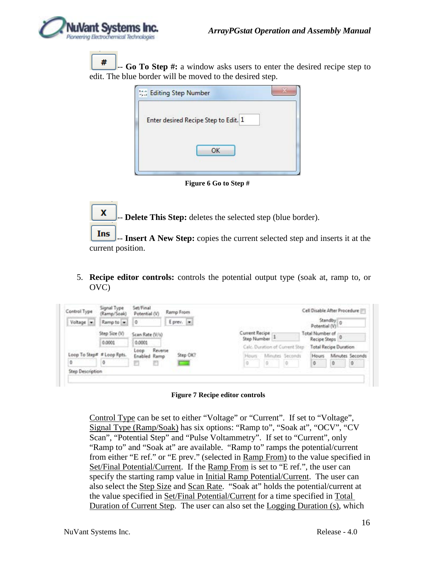x

# -- **Go To Step #:** a window asks users to enter the desired recipe step to edit. The blue border will be moved to the desired step.

| the Editing Step Number              |  |
|--------------------------------------|--|
| Enter desired Recipe Step to Edit. 1 |  |
| OK                                   |  |
|                                      |  |

**Figure 6 Go to Step #**

- **Delete This Step:** deletes the selected step (blue border).

Ins -- **Insert A New Step:** copies the current selected step and inserts it at the current position.

5. **Recipe editor controls:** controls the potential output type (soak at, ramp to, or OVC)

| Control Type               | Signal Type<br>(Ramp/Soak) | Set/Final<br>Potential (V) | Ramp From  |          |                |                                |  |                           | Cell Disable After Procedure [11] |   |
|----------------------------|----------------------------|----------------------------|------------|----------|----------------|--------------------------------|--|---------------------------|-----------------------------------|---|
| Voltage -                  | Ramp to -                  | Q                          | Eprev. (m) |          |                |                                |  | Potential (V)             | Standby 0                         |   |
|                            | Step Size (V)              | Scan Rate (V/s)            |            |          | Current Recipe |                                |  | Total Number of           |                                   |   |
|                            | 0.0001                     | 0.0001                     |            |          | Step Number    |                                |  | Recipe Steps <sup>0</sup> |                                   |   |
|                            |                            | Reverse<br>Loop            |            |          |                | Calc. Duration of Current Step |  |                           | <b>Total Recipe Duration</b>      |   |
| Loop To Step# # Loop Rpts. |                            | Enabled Ramp               |            | Step OK? | Hours          | Minutes Seconds                |  | <b>Hours</b>              | Minutes Seconds                   |   |
|                            | 0                          |                            |            |          | .o             | 0                              |  | ø                         | 0                                 | ٥ |
| Step Description           |                            |                            |            |          |                |                                |  |                           |                                   |   |

**Figure 7 Recipe editor controls**

Control Type can be set to either "Voltage" or "Current". If set to "Voltage", Signal Type (Ramp/Soak) has six options: "Ramp to", "Soak at", "OCV", "CV Scan", "Potential Step" and "Pulse Voltammetry". If set to "Current", only "Ramp to" and "Soak at" are available. "Ramp to" ramps the potential/current from either "E ref." or "E prev." (selected in Ramp From) to the value specified in Set/Final Potential/Current. If the Ramp From is set to "E ref.", the user can specify the starting ramp value in Initial Ramp Potential/Current. The user can also select the Step Size and Scan Rate. "Soak at" holds the potential/current at the value specified in Set/Final Potential/Current for a time specified in Total Duration of Current Step. The user can also set the Logging Duration (s), which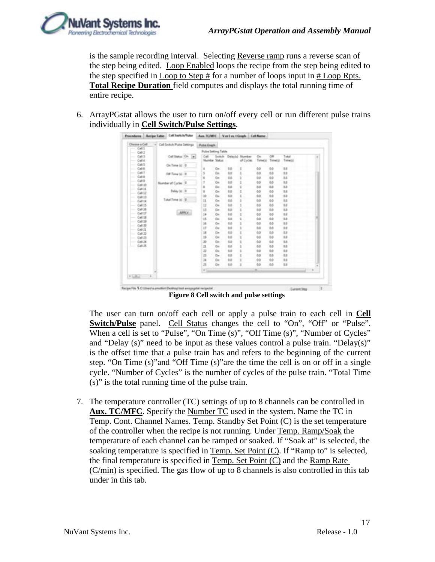

is the sample recording interval. Selecting Reverse ramp runs a reverse scan of the step being edited. Loop Enabled loops the recipe from the step being edited to the step specified in Loop to Step # for a number of loops input in # Loop Rpts. **Total Recipe Duration** field computes and displays the total running time of entire recipe.

6. ArrayPGstat allows the user to turn on/off every cell or run different pulse trains individually in **Cell Switch/Pulse Settings**.

| Choose a Call                                                 | w | Call Switch/Pulsa Settings |        | <b>Futuri Greater</b>   |           |          |                 |            |        |         |             |
|---------------------------------------------------------------|---|----------------------------|--------|-------------------------|-----------|----------|-----------------|------------|--------|---------|-------------|
| Cell1<br><b>Sentence</b><br>Cell                              |   |                            |        | Pulse Setting Table     |           |          |                 |            |        |         |             |
| Colli                                                         |   | Cell Insur Dr. [a]         |        | Call - Switch           |           |          | Delaylor Number | On:        | OH     | Total   |             |
| Cell                                                          |   |                            |        | Numbe Status            |           |          | of Cycles       | Timecal    | Teneto | Timetal |             |
| Call3                                                         |   | On Time (c) B              |        |                         |           |          |                 |            |        |         |             |
| Calif.                                                        |   |                            |        | ı                       | GH.       | 46       | I               | 0.5        | 80     | 1.6     |             |
| Call T                                                        |   | Off Tome (s) 19            |        | š                       | tlm.      | tá       | ś               | 0.0        | 6.0    | 12      |             |
| 0.011                                                         |   |                            |        | ă                       | Gw        | 0.0      | ı               | 0.8        | 0.0    | ta.     |             |
| Celli                                                         |   | Number of Cycles 17        |        |                         | Gu        | 68       | š               | 65         | 65     | 1.5     |             |
| Cell (0)<br>C48.11                                            |   |                            |        |                         | Che       | 68       | ú               | <b>b</b> a | as     | t.c     |             |
| C4812                                                         |   | Delay (s) 39               |        | ı                       | GH        | 00       | I               | 0.0        | θó     | u       |             |
| Cell II                                                       |   |                            |        | 33                      | the       | 68       | i               | 0.0        | 6b     | 12      |             |
| $C = 18$                                                      |   | Tutal Tene (c) B           |        | 11                      | Gm        | 60       | ä               | 0.5        | 60     | u       |             |
| C40.25                                                        |   |                            |        | 12                      | ÖH.       | 68       | ŧ               | 65         | 66     | 1.0     |             |
| 0.0036                                                        |   |                            |        | 11                      | Cir.      | ba       |                 | 65         | itdi   | iä.     |             |
| C <sub>eff</sub>                                              |   |                            | APROL. | 16                      | GH        | 60       |                 | 0.0        | 0.6    | 1.6     |             |
| Cat18                                                         |   |                            |        | Ħ                       | Ge-       | 6.0      | ś               | 0.0        | 6.0    | 1.8     |             |
| Call 19                                                       |   |                            |        | 38                      | Gm        | 60       | ä               | 0.0        | 0.0    | u       |             |
| $C_0(1,2)$                                                    |   |                            |        | $_{17}$                 | Gw        | 6d       |                 | 65         | 66     | 1.0     |             |
| Cell                                                          |   |                            |        |                         |           |          |                 |            |        |         |             |
| Call, 22                                                      |   |                            |        | 18                      | <b>GH</b> | ta       |                 | фā         | itib   | t.n     |             |
| Call 23                                                       |   |                            |        | 13                      | GH        | 00       | ī               | 0.0        | 9.0    | u       |             |
| 0.0136                                                        |   |                            |        | 36                      | the       | 6b       |                 | dubt       | 68     | t.c.    |             |
| C41.25                                                        |   |                            |        | $\overline{\mathbf{a}}$ | Gm        | 60       |                 | 0.0        | $60 -$ | 18      |             |
|                                                               |   |                            |        | 22                      | ÖH        | <b>b</b> |                 | 65         | 6ó     | 12      |             |
|                                                               |   |                            |        | $\overline{43}$         | Gw        | 6.0      |                 | 0.3        | itab   | t.      |             |
|                                                               |   |                            |        | 34                      | OH        | 00       |                 | 0.0        | 60     | 1.6     |             |
|                                                               |   |                            |        | 涯                       | On        | 65       | i               | 0.5        | 46     | 12      |             |
|                                                               |   |                            |        | $+1$                    |           |          |                 | ×          |        |         | <b>CITA</b> |
| $\begin{array}{ccc} \bullet & \dots & \bullet \\ \end{array}$ |   |                            |        |                         |           |          |                 |            |        |         |             |
|                                                               |   |                            |        |                         |           |          |                 |            |        |         |             |

**Figure 8 Cell switch and pulse settings**

The user can turn on/off each cell or apply a pulse train to each cell in **Cell Switch/Pulse** panel. Cell Status changes the cell to "On", "Off" or "Pulse". When a cell is set to "Pulse", "On Time (s)", "Off Time (s)", "Number of Cycles" and "Delay (s)" need to be input as these values control a pulse train. "Delay(s)" is the offset time that a pulse train has and refers to the beginning of the current step. "On Time (s)"and "Off Time (s)"are the time the cell is on or off in a single cycle. "Number of Cycles" is the number of cycles of the pulse train. "Total Time (s)" is the total running time of the pulse train.

7. The temperature controller (TC) settings of up to 8 channels can be controlled in **Aux. TC/MFC**. Specify the Number TC used in the system. Name the TC in Temp. Cont. Channel Names. Temp. Standby Set Point (C) is the set temperature of the controller when the recipe is not running. Under Temp. Ramp/Soak the temperature of each channel can be ramped or soaked. If "Soak at" is selected, the soaking temperature is specified in Temp. Set Point (C). If "Ramp to" is selected, the final temperature is specified in Temp. Set Point (C) and the Ramp Rate (C/min) is specified. The gas flow of up to 8 channels is also controlled in this tab under in this tab.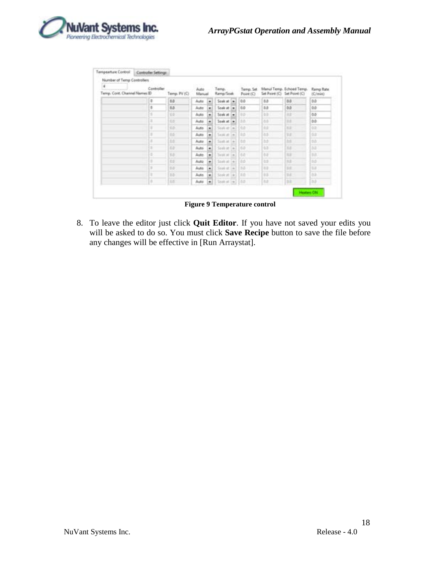

| ٤<br>Temp. Covit. Channel Names ID | Number of Temp Controllers<br>Controller | Temp. PV (C) | Auto<br>Manuel |                | Temp.<br>Kemp/Soek                                                  | Terror. Set<br>Point (C) | Set Point (C) | Manul Temp. Echoed Temp.<br>Set Point (C) | Ramp Rate<br>(C/min) |
|------------------------------------|------------------------------------------|--------------|----------------|----------------|---------------------------------------------------------------------|--------------------------|---------------|-------------------------------------------|----------------------|
|                                    | o                                        | 6.5          | Auto           | $\blacksquare$ | Soak at im-                                                         | 0.0                      | 88            | 8.6                                       | 负应                   |
|                                    | s                                        | 0.0          | Auto           | ۰              | Sook at in                                                          | 0.0                      | 0.0           | <b>D.D</b>                                | 0.0                  |
|                                    | 1                                        | 15           | Auto:          | ۰              | Sook at 1+                                                          | <b>D.D.</b>              | 49            | <b>OLE</b>                                | 0.0                  |
|                                    | 3                                        | 66           | Autó.          | ٠              | Sook at inc                                                         | <b>DD</b>                | 66            | <b>I</b>                                  | 0.0                  |
|                                    | H                                        | 65           | Auto           | ۰              | South at:<br><b>Cap</b>                                             | 1 O.D                    | 10            | mm                                        | on                   |
|                                    | s                                        | <b>BB</b>    | Auto           | ۰              | Total aft<br>$\sim$                                                 | 10.0                     | $-0.5$        | <b>VLU</b>                                | 0.01                 |
|                                    | s                                        | DE:          | Auto           | ۰              | South at $\left\vert \infty\right\vert$ $\left\vert 0.0\right\vert$ |                          | 15            | <b>DE</b>                                 | 10.0                 |
|                                    | ٠                                        | 0.0          | Auto           | ۰              | Souk at $\left  + \right $ 10.0                                     |                          | 10            | m                                         | <b>DE</b>            |
|                                    | ٠                                        | 10           | Auto.          | $\blacksquare$ | $3410$ at $ a $ $ 0.0$                                              |                          | 84            | 官部                                        | i nat                |
|                                    | ×                                        | td.          | Auto           | ۰              | $1440$ at $41100$                                                   |                          | 13            | 地面                                        | 0.0                  |
|                                    | з                                        | D.D          | Auto           | ٠              | Sout at $[-1, 1, 0]$                                                |                          | 32            | <b>BE</b>                                 | 包层                   |
|                                    | ۰                                        | $15 -$       | Auto.          | ٠              | Sole #   #   110                                                    |                          | 35            | <b>SHE</b>                                | 作品                   |
|                                    | īπ                                       | <b>SE</b>    | Auto           | ٠              | Staket $+$ 10.0                                                     |                          | 140           | D.                                        | <b>DO</b>            |

**Figure 9 Temperature control**

8. To leave the editor just click **Quit Editor**. If you have not saved your edits you will be asked to do so. You must click **Save Recipe** button to save the file before any changes will be effective in [Run Arraystat].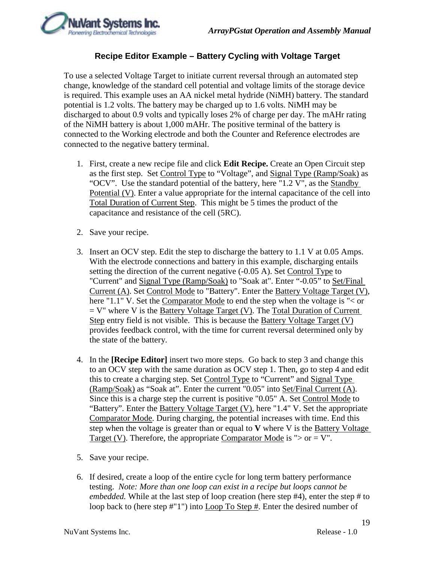

### **Recipe Editor Example – Battery Cycling with Voltage Target**

<span id="page-18-0"></span>To use a selected Voltage Target to initiate current reversal through an automated step change, knowledge of the standard cell potential and voltage limits of the storage device is required. This example uses an AA nickel metal hydride (NiMH) battery. The standard potential is 1.2 volts. The battery may be charged up to 1.6 volts. NiMH may be discharged to about 0.9 volts and typically loses 2% of charge per day. The mAHr rating of the NiMH battery is about 1,000 mAHr. The positive terminal of the battery is connected to the Working electrode and both the Counter and Reference electrodes are connected to the negative battery terminal.

- 1. First, create a new recipe file and click **Edit Recipe.** Create an Open Circuit step as the first step. Set Control Type to "Voltage", and Signal Type (Ramp/Soak) as "OCV". Use the standard potential of the battery, here "1.2 V", as the Standby Potential (V). Enter a value appropriate for the internal capacitance of the cell into Total Duration of Current Step. This might be 5 times the product of the capacitance and resistance of the cell (5RC).
- 2. Save your recipe.
- 3. Insert an OCV step. Edit the step to discharge the battery to 1.1 V at 0.05 Amps. With the electrode connections and battery in this example, discharging entails setting the direction of the current negative (-0.05 A). Set Control Type to "Current" and Signal Type (Ramp/Soak) to "Soak at". Enter "-0.05" to Set/Final Current (A). Set Control Mode to "Battery". Enter the Battery Voltage Target (V), here "1.1" V. Set the Comparator Mode to end the step when the voltage is "< or  $=$  V" where V is the Battery Voltage Target (V). The Total Duration of Current Step entry field is not visible. This is because the Battery Voltage Target (V) provides feedback control, with the time for current reversal determined only by the state of the battery.
- 4. In the **[Recipe Editor]** insert two more steps. Go back to step 3 and change this to an OCV step with the same duration as OCV step 1. Then, go to step 4 and edit this to create a charging step. Set Control Type to "Current" and Signal Type (Ramp/Soak) as "Soak at". Enter the current "0.05" into Set/Final Current (A). Since this is a charge step the current is positive "0.05" A. Set Control Mode to "Battery". Enter the Battery Voltage Target (V), here "1.4" V. Set the appropriate Comparator Mode. During charging, the potential increases with time. End this step when the voltage is greater than or equal to **V** where V is the Battery Voltage Target (V). Therefore, the appropriate Comparator Mode is " $>$  or  $=$  V".
- 5. Save your recipe.
- 6. If desired, create a loop of the entire cycle for long term battery performance testing. *Note: More than one loop can exist in a recipe but loops cannot be embedded*. While at the last step of loop creation (here step #4), enter the step # to loop back to (here step #"1") into Loop To Step #. Enter the desired number of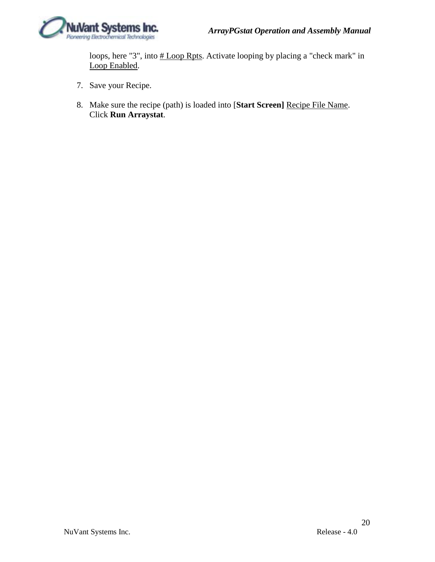

loops, here "3", into  $\frac{\text{# Loop Rpts}}{\text{# Stop Rpts}}$ . Activate looping by placing a "check mark" in Loop Enabled.

- 7. Save your Recipe.
- 8. Make sure the recipe (path) is loaded into [**Start Screen]** Recipe File Name. Click **Run Arraystat**.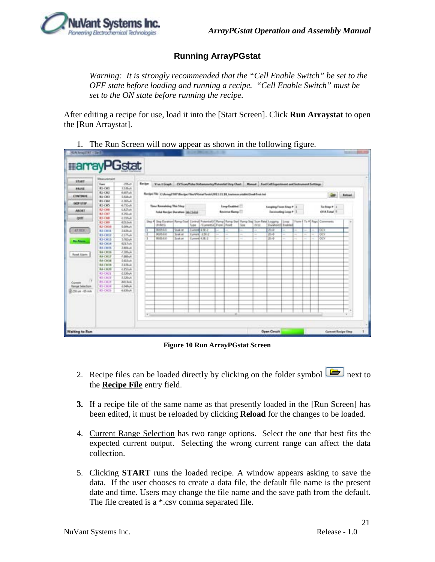### **Running ArrayPGstat**

<span id="page-20-0"></span>*Warning: It is strongly recommended that the "Cell Enable Switch" be set to the OFF state before loading and running a recipe. "Cell Enable Switch" must be set to the ON state before running the recipe.* 

After editing a recipe for use, load it into the [Start Screen]. Click **Run Arraystat** to open the [Run Arraystat].

1. The Run Screen will now appear as shown in the following figure.

|                        | Manurensit      |                  |               |                                                                                                                   |         |                   |                             |                    |      |       |                               |  |  |                             |               |
|------------------------|-----------------|------------------|---------------|-------------------------------------------------------------------------------------------------------------------|---------|-------------------|-----------------------------|--------------------|------|-------|-------------------------------|--|--|-----------------------------|---------------|
| <b>START</b>           | <b>Smer</b>     | $-223$ udi       | <b>Banker</b> | Von Fliegel CV Scan/Pulse Volumentey/Fetersful Eng Chart   Manual   Fuel Cell Experiment and Instrument Entitieps |         |                   |                             |                    |      |       |                               |  |  |                             |               |
| <b>FALSA</b>           | R1-CH1          | 3.5 Mode         |               |                                                                                                                   |         |                   |                             |                    |      |       |                               |  |  |                             |               |
|                        | <b>R1-CH3</b>   | 4.80 halt        |               |                                                                                                                   |         |                   |                             |                    |      |       |                               |  |  |                             |               |
| <b>CONTINUE</b>        | R1-CH1          | $-1.028\omega k$ |               | Recipe FBI C/Unset187/Amips FlashFista Taxis (2011) 13.18 terma establist bush Taxi hat                           |         |                   |                             |                    |      |       |                               |  |  |                             | <b>Retual</b> |
|                        | <b>RS-CHM</b>   | $-2$ . Bit hadi  |               |                                                                                                                   |         |                   |                             |                    |      |       |                               |  |  |                             |               |
| <b>LICE UTEF</b>       | 81-06           | 4.73%A           |               | Time Remaining This Step                                                                                          |         |                   |                             | Long Enabled       |      |       | <b>Songling From Step # 3</b> |  |  | To Step # 1                 |               |
| <b>ABOKT</b>           | 82-046          | -LATIVA          |               |                                                                                                                   |         |                   |                             |                    |      |       |                               |  |  |                             |               |
|                        | 82-043          | $d$ . Pittali    |               | Total Kevipe Duration (69.75.8.8)                                                                                 |         |                   |                             | <b>Browns Ramp</b> |      |       | Encesating Loop # 1           |  |  | Of A Tunal 10               |               |
| <b>OUTT</b>            | 82-048          | -1.100uM         |               |                                                                                                                   |         |                   |                             |                    |      |       |                               |  |  |                             |               |
|                        | <b>K2-CHI</b>   | 425 BoA          |               | thes # they Duration Remarked Control Potential/I) Ramp  Ramp than Rang Stay Scan Rate  Logging   Long            |         |                   |                             |                    |      |       |                               |  |  | Form 4 To #  Raye  Comments |               |
|                        | 82-DOE          | <b>GORUA</b>     |               | <b>JIMES</b>                                                                                                      |         |                   | Tupe (Currental From Busin) |                    | line | data: | Duration(I) Einstitut         |  |  |                             |               |
| AR DEN                 | 83-0411         | $-1.0376 - 4$    |               | <b>MARINA</b>                                                                                                     | Sout at | <b>Down Date:</b> |                             |                    |      | a.    | 26-4<br>$\sim$                |  |  | 009                         |               |
|                        | <b>43-DELY</b>  | $J2U0$ A         |               | 004544                                                                                                            | Sout at |                   | Current 12 NH               |                    |      |       | $20 - 0$                      |  |  | $\overline{000}$            |               |
| <b>Building</b>        | <b>R3-DELE</b>  | 5,58364          |               | 000942                                                                                                            | Sout at |                   | Current 4.58-2              |                    | ×    |       | $3 - 4$                       |  |  | œ                           |               |
|                        | 83-004          | 4217/6           |               |                                                                                                                   |         |                   |                             |                    |      |       |                               |  |  |                             |               |
|                        | <b>R3-19413</b> | $-1404$ ull      |               |                                                                                                                   |         |                   |                             |                    |      |       |                               |  |  |                             |               |
| Rand Alarm             | <b>66-OEH</b>   | $-3.30\%$        |               |                                                                                                                   |         |                   |                             |                    |      |       |                               |  |  |                             |               |
|                        | $84 - (34)$     | -3 plate-all     |               |                                                                                                                   |         |                   |                             |                    |      |       |                               |  |  |                             |               |
|                        | <b>BA-CIETE</b> | $-1400a$         |               |                                                                                                                   |         |                   |                             |                    |      |       |                               |  |  |                             |               |
|                        | <b>BACKER</b>   | $-1.679 - 4$     |               |                                                                                                                   |         |                   |                             |                    |      |       |                               |  |  |                             |               |
|                        | <b>BA-CHOR</b>  | $4.85$ UnA       |               |                                                                                                                   |         |                   |                             |                    |      |       |                               |  |  |                             |               |
|                        | 8543611         | $-2.506$ uA      |               |                                                                                                                   |         |                   |                             |                    |      |       |                               |  |  |                             |               |
|                        | <b>RS-CHAFF</b> | 3.1864           |               |                                                                                                                   |         |                   |                             |                    |      |       |                               |  |  |                             |               |
| m<br>Conet             | <b>RS-0411</b>  | -341 Scul        |               |                                                                                                                   |         |                   |                             |                    |      |       |                               |  |  |                             |               |
| <b>Renge Selection</b> | 854368          | $-1540%$         |               |                                                                                                                   |         |                   |                             |                    |      |       |                               |  |  |                             |               |
| <b>R</b> 20 us - 45 ms | 85-003          | <b>AKRAK</b>     |               |                                                                                                                   |         |                   |                             |                    |      |       |                               |  |  |                             |               |
|                        |                 |                  |               |                                                                                                                   |         |                   |                             |                    |      |       |                               |  |  |                             |               |
|                        |                 |                  |               |                                                                                                                   |         |                   |                             |                    |      |       |                               |  |  |                             |               |
|                        |                 |                  |               |                                                                                                                   |         |                   |                             |                    |      |       |                               |  |  |                             |               |
|                        |                 |                  |               |                                                                                                                   |         |                   |                             |                    |      |       |                               |  |  |                             |               |
|                        |                 |                  | $\sim$        |                                                                                                                   |         |                   |                             |                    |      |       |                               |  |  |                             |               |
|                        |                 |                  |               |                                                                                                                   |         |                   |                             |                    |      |       |                               |  |  |                             |               |

**Figure 10 Run ArrayPGstat Screen**

- 2. Recipe files can be loaded directly by clicking on the folder symbol  $\boxed{\Box}$  next to the **Recipe File** entry field.
- **3.** If a recipe file of the same name as that presently loaded in the [Run Screen] has been edited, it must be reloaded by clicking **Reload** for the changes to be loaded.
- 4. Current Range Selection has two range options. Select the one that best fits the expected current output. Selecting the wrong current range can affect the data collection.
- 5. Clicking **START** runs the loaded recipe. A window appears asking to save the data. If the user chooses to create a data file, the default file name is the present date and time. Users may change the file name and the save path from the default. The file created is a \*.csv comma separated file.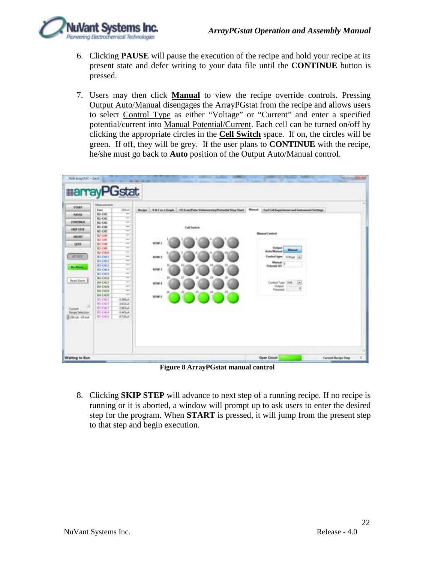

- 6. Clicking **PAUSE** will pause the execution of the recipe and hold your recipe at its present state and defer writing to your data file until the **CONTINUE** button is pressed.
- 7. Users may then click **Manual** to view the recipe override controls. Pressing Output Auto/Manual disengages the ArrayPGstat from the recipe and allows users to select Control Type as either "Voltage" or "Current" and enter a specified potential/current into Manual Potential/Current. Each cell can be turned on/off by clicking the appropriate circles in the **Cell Switch** space. If on, the circles will be green. If off, they will be grey. If the user plans to **CONTINUE** with the recipe, he/she must go back to **Auto** position of the Output Auto/Manual control.



**Figure 8 ArrayPGstat manual control**

8. Clicking **SKIP STEP** will advance to next step of a running recipe. If no recipe is running or it is aborted, a window will prompt up to ask users to enter the desired step for the program. When **START** is pressed, it will jump from the present step to that step and begin execution.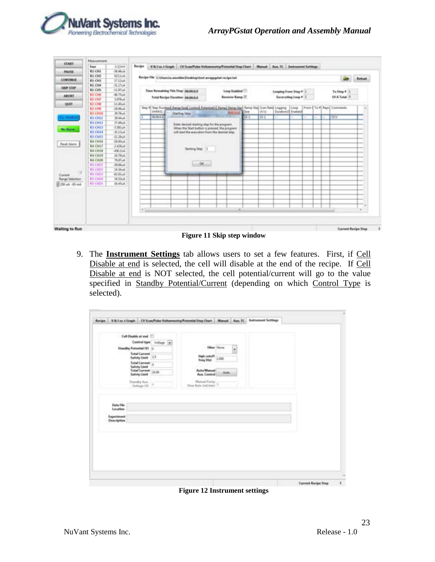

| <b>START</b>           | Masurement       |                   |        |              |                                                                                                             |                  |             |          |                       |                    |  |   |                           |                            |
|------------------------|------------------|-------------------|--------|--------------|-------------------------------------------------------------------------------------------------------------|------------------|-------------|----------|-----------------------|--------------------|--|---|---------------------------|----------------------------|
|                        | Ewe              | $-1.12\text{mV}$  | Recipe |              | V & I vs. 1 Graph   CV Scan/Pulse Voltammetry/Pulantial Step Chart   Manual   Aug. 1C   Seatsument Settings |                  |             |          |                       |                    |  |   |                           |                            |
| <b><i>BALISA</i></b>   | <b>R1-OH1</b>    | $-36.48 - 4$      |        |              |                                                                                                             |                  |             |          |                       |                    |  |   |                           |                            |
|                        | <b>BIGIO</b>     | <b>BISINA</b>     |        |              | Recipe File CAUservia annehia/Dedrop/Jest annappoint recipe full                                            |                  |             |          |                       |                    |  |   |                           | <b>Kelman</b>              |
| <b>CONTINUE</b>        | <b>RI-CHI</b>    | 17.12-A           |        |              |                                                                                                             |                  |             |          |                       |                    |  |   |                           |                            |
| <b>GOV STOP</b>        | 85 CHA           | $-31.17-4$        |        |              |                                                                                                             |                  |             |          |                       |                    |  |   |                           |                            |
|                        | <b>RICHS</b>     | $-21.87 - 4.$     |        |              | Time Remaining This Step: 00.00-0.0                                                                         | Loop Enabled     |             |          | Looping From Step # 1 |                    |  |   | To Step # 1               |                            |
| <b>ABORT</b>           | 83,4346          | $-4054$           |        |              | Tetal Recipe Duration: 00:00:0.0                                                                            | Reverse Ramp (2) |             |          |                       | Excessing Loop # 1 |  |   | Of A Tunal 3              |                            |
|                        | <b>EJ-CHT</b>    | $1.078 - 4$       |        |              |                                                                                                             |                  |             |          |                       |                    |  |   |                           |                            |
| OUT                    | 1.1-048          | $-11.40mA$        |        |              |                                                                                                             |                  |             |          |                       |                    |  |   |                           |                            |
|                        | <b>E3 CHB</b>    | $-18.06 - 4$      |        | (HAAG)       | The #1 She Dunteed Ramp Sual Control Potential Ramp Ramp Star Sing Scan Raw Logging                         |                  | <b>Size</b> | cerú.    | Duratoric English     | 1 Links            |  |   | From E To # Reps Comments |                            |
|                        | <b>R.J.-CM10</b> | 29.76uA           |        |              | <b>Starting Ship</b>                                                                                        |                  |             |          |                       |                    |  |   |                           |                            |
| <b>TAL TRANSLE</b>     | <b>ELCHIS</b>    | 35 Kitchi         |        | <b>NONAS</b> |                                                                                                             |                  | $11 - 1$    | $11 - 1$ |                       |                    |  | ÷ | <b>LOCY</b>               |                            |
|                        | <b>KI-CHL/</b>   | IT Albut          |        |              | Enter desired starting step for the program.                                                                |                  |             |          |                       |                    |  |   |                           |                            |
| <b>Bis Alasma</b>      | <b>ELCHLY</b>    | $-1.981 - 4$      |        |              | When the Start button is pressed, the program                                                               |                  |             |          |                       |                    |  |   |                           |                            |
|                        | <b>EL CH18</b>   | $1113$ ull        |        |              | will start the execution from the desired step.                                                             |                  |             |          |                       |                    |  |   |                           |                            |
|                        | 03-0415          | $-11.29 - 4$      |        |              |                                                                                                             |                  |             |          |                       |                    |  |   |                           |                            |
| Reize Algern           | <b>RACHIN</b>    | $-28.00\text{mJ}$ |        |              |                                                                                                             |                  |             |          |                       |                    |  |   |                           |                            |
|                        | R4-C1117         | $-243644$         |        |              |                                                                                                             |                  |             |          |                       |                    |  |   |                           |                            |
|                        | <b>BLCHIR</b>    | 456264            |        |              | <b>Norting Total 1</b>                                                                                      |                  |             |          |                       |                    |  |   |                           |                            |
|                        | <b>64-CM19</b>   | $26.79\mu$ A      |        |              |                                                                                                             |                  |             |          |                       |                    |  |   |                           |                            |
|                        | <b>BLCH20</b>    | MAN-A             |        |              |                                                                                                             |                  |             |          |                       |                    |  |   |                           |                            |
|                        | <b>RS-CHUS</b>   | $-26$ Moult       |        |              | $-00$                                                                                                       |                  |             |          |                       |                    |  |   |                           |                            |
|                        | 85 (102)         | 34,56p4           |        |              |                                                                                                             |                  |             |          |                       |                    |  |   |                           |                            |
| n<br>Current           | <b>KS-CHIT</b>   | 41.01 ml          |        |              |                                                                                                             |                  |             |          |                       |                    |  |   |                           |                            |
| <b>Range Selection</b> | <b>PS-CH34</b>   | 34.53m4           |        |              |                                                                                                             |                  |             |          |                       |                    |  |   |                           |                            |
| 2.750 p.k - 65 mil.    | <b>RS-CHIS</b>   | $36.45-4$         |        |              |                                                                                                             |                  |             |          |                       |                    |  |   |                           |                            |
|                        |                  |                   |        |              |                                                                                                             |                  |             |          |                       |                    |  |   |                           |                            |
|                        |                  |                   |        |              |                                                                                                             |                  |             |          |                       |                    |  |   |                           |                            |
|                        |                  |                   |        |              |                                                                                                             |                  |             |          |                       |                    |  |   |                           |                            |
|                        |                  |                   |        |              |                                                                                                             |                  |             |          |                       |                    |  |   |                           |                            |
|                        |                  |                   | k      |              |                                                                                                             |                  |             |          |                       |                    |  |   |                           |                            |
|                        |                  |                   |        |              |                                                                                                             | $\overline{a}$   |             |          |                       |                    |  |   |                           |                            |
|                        |                  |                   |        |              |                                                                                                             |                  |             |          |                       |                    |  |   |                           |                            |
| <b>Waiting to Run</b>  |                  |                   |        |              |                                                                                                             |                  |             |          |                       |                    |  |   |                           | <b>Current Recipe Step</b> |

9. The **Instrument Settings** tab allows users to set a few features. First, if Cell Disable at end is selected, the cell will disable at the end of the recipe. If Cell Disable at end is NOT selected, the cell potential/current will go to the value specified in Standby Potential/Current (depending on which Control Type is selected).

| Safety Linds<br><b>Total Carrent</b> 1800<br>Auto/Manual<br>Column.<br>Aunt, Contrast<br>Safety Limit<br>Manual Pump<br>Three Keite Smillwood<br><b>Standby Ave.</b><br>Visitage (18) 3<br>90,890<br>Data File<br>Location<br>Experiment<br>Description | Call Disable at and<br>Control type: Volkspt [#]<br><b>Standity Potential (9)</b> (c)<br><b><i><u><u><b>Satal Current</b></u></u></i></b><br>Sefety Used: 25 | <b>Filter Store</b><br>×<br>high cutoff<br>1.000<br>Free Dist |  |
|---------------------------------------------------------------------------------------------------------------------------------------------------------------------------------------------------------------------------------------------------------|--------------------------------------------------------------------------------------------------------------------------------------------------------------|---------------------------------------------------------------|--|
|                                                                                                                                                                                                                                                         | <b>Total Carrent</b>                                                                                                                                         |                                                               |  |
|                                                                                                                                                                                                                                                         |                                                                                                                                                              |                                                               |  |
|                                                                                                                                                                                                                                                         |                                                                                                                                                              |                                                               |  |

**Figure 12 Instrument settings**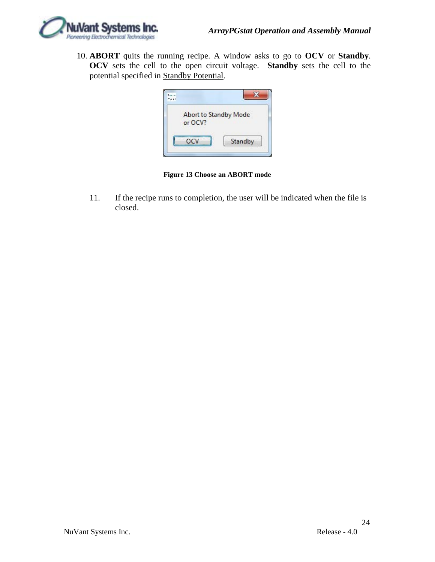

10. **ABORT** quits the running recipe. A window asks to go to **OCV** or **Standby**. **OCV** sets the cell to the open circuit voltage. **Standby** sets the cell to the potential specified in Standby Potential.

| Abort to Standby Mode |         |
|-----------------------|---------|
| or OCV?               |         |
|                       |         |
| OCV                   | Standby |

**Figure 13 Choose an ABORT mode**

11. If the recipe runs to completion, the user will be indicated when the file is closed.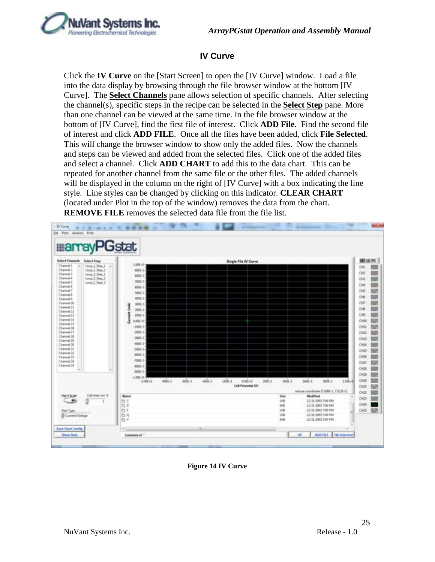

### **IV Curve**

<span id="page-24-0"></span>Click the **IV Curve** on the [Start Screen] to open the [IV Curve] window. Load a file into the data display by browsing through the file browser window at the bottom [IV Curve]. The **Select Channels** pane allows selection of specific channels. After selecting the channel(s), specific steps in the recipe can be selected in the **Select Step** pane. More than one channel can be viewed at the same time. In the file browser window at the bottom of [IV Curve], find the first file of interest. Click **ADD File**. Find the second file of interest and click **ADD FILE**. Once all the files have been added, click **File Selected**. This will change the browser window to show only the added files. Now the channels and steps can be viewed and added from the selected files. Click one of the added files and select a channel. Click **ADD CHART** to add this to the data chart. This can be repeated for another channel from the same file or the other files. The added channels will be displayed in the column on the right of [IV Curve] with a box indicating the line style. Line styles can be changed by clicking on this indicator. **CLEAR CHART** (located under Plot in the top of the window) removes the data from the chart. **REMOVE FILE** removes the selected data file from the file list.

| <b>Select Channels</b><br><b>Select Step</b>                                 |                                        |                           | Single File IV Curve        |                      |                                          |
|------------------------------------------------------------------------------|----------------------------------------|---------------------------|-----------------------------|----------------------|------------------------------------------|
| Channel 3<br>100p.1.9mp.1<br>$\sim$<br>œ<br><b>Channel 2</b><br>Loop.3.5mp.2 | $1.066 - 0$<br>$4006 - 3 - 3$          |                           |                             |                      |                                          |
| Channel 3<br>Leop. 2, Step. 1                                                | 8001-3-1                               |                           |                             |                      |                                          |
| Chairmed 6<br>Loop 2 Step 2<br>Chairmal 3                                    | 700E-3-1                               |                           |                             |                      |                                          |
| Linep. S. Stop. 3<br>Channel 6                                               | $4000 - 3$                             |                           |                             |                      |                                          |
| Channel 7<br>Channel 8                                                       | $300 - 3 -$                            |                           |                             |                      |                                          |
| Channel B                                                                    | 4000.0                                 |                           |                             |                      |                                          |
| Channel 12<br>Channel 21                                                     | 300(-3-)<br>Î                          |                           |                             |                      |                                          |
| Channel IJ                                                                   | 2000-3-                                |                           |                             |                      |                                          |
| Channel 13                                                                   | ī<br>1006-3-                           |                           |                             |                      |                                          |
| Channel 14<br>Channel II<br>Channel 38<br>Channel IT                         | ð<br>$0.001 - 0$                       |                           |                             |                      |                                          |
|                                                                              | $1001.1 -$<br>2006-3-7                 |                           |                             |                      |                                          |
| Channel SB                                                                   | 886-3-                                 |                           |                             |                      |                                          |
| Channel 19                                                                   | 4006-3-2                               |                           |                             |                      |                                          |
| Channel 30<br>Channel 21                                                     | $-5006 - 3 - 3$                        |                           |                             |                      |                                          |
| Channel 23<br>Channel 23                                                     | 4905-31                                |                           |                             |                      |                                          |
| Channel 24                                                                   | <b>JUS 3</b>                           |                           |                             |                      |                                          |
| Channel 25<br>٠                                                              | 4005-3-                                |                           |                             |                      |                                          |
|                                                                              | 4900.3-                                |                           |                             |                      |                                          |
|                                                                              | 1,800-0-<br>$4006 - 3$<br>$-1.006 + 0$ | $4006 - 3$<br>$-4006 - 3$ | $-3006 - 3$<br>$0.004 - 0.$ | $4006 - 3$<br>3568-3 | $4006 - 3$<br>$8001 - 1$<br>$1.006 - 0$  |
|                                                                              |                                        |                           | Cell Potential (V)          |                      | moore condinate (7.936-1, 7.525-1)       |
| Call Area (cm/2)<br><b>Flige T To ale</b>                                    | Name                                   |                           |                             | Size                 | Modified                                 |
| ۰<br>ă<br>$\mathbf{r}$                                                       | $C_2$ $C_3$                            |                           |                             | 193<br><b>BO</b>     | 13/31/3903 7:00 PM                       |
| Plut Type                                                                    | b b<br>O F                             |                           |                             | DG.                  | 53/31/1993 7:00 PM<br>13/31/1903 7:00 PM |
| <b>El Curent/Volkept</b>                                                     | 白々                                     |                           |                             | 18.8                 | 13/31/1803 7:00 PM                       |
|                                                                              | its v                                  |                           |                             | <b>IAB</b>           | 13/31/3903 7:00 PM                       |

**Figure 14 IV Curve**